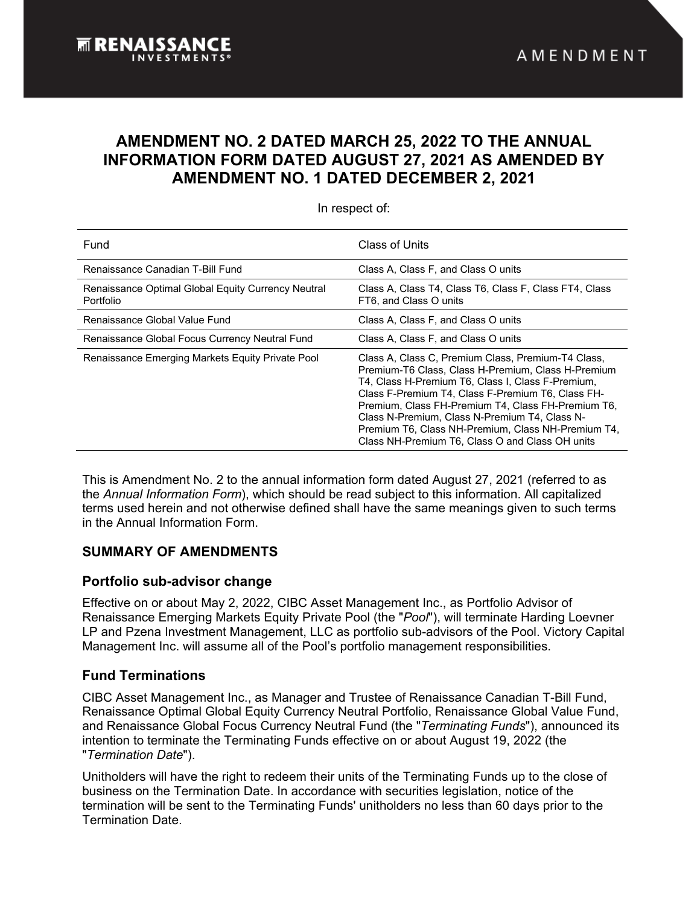# **AMENDMENT NO. 2 DATED MARCH 25, 2022 TO THE ANNUAL INFORMATION FORM DATED AUGUST 27, 2021 AS AMENDED BY AMENDMENT NO. 1 DATED DECEMBER 2, 2021**

| Fund                                                            | Class of Units                                                                                                                                                                                                                                                                                                                                                                                                                     |
|-----------------------------------------------------------------|------------------------------------------------------------------------------------------------------------------------------------------------------------------------------------------------------------------------------------------------------------------------------------------------------------------------------------------------------------------------------------------------------------------------------------|
| Renaissance Canadian T-Bill Fund                                | Class A, Class F, and Class O units                                                                                                                                                                                                                                                                                                                                                                                                |
| Renaissance Optimal Global Equity Currency Neutral<br>Portfolio | Class A, Class T4, Class T6, Class F, Class FT4, Class<br>FT6, and Class O units                                                                                                                                                                                                                                                                                                                                                   |
| Renaissance Global Value Fund                                   | Class A, Class F, and Class O units                                                                                                                                                                                                                                                                                                                                                                                                |
| Renaissance Global Focus Currency Neutral Fund                  | Class A, Class F, and Class O units                                                                                                                                                                                                                                                                                                                                                                                                |
| Renaissance Emerging Markets Equity Private Pool                | Class A, Class C, Premium Class, Premium-T4 Class,<br>Premium-T6 Class, Class H-Premium, Class H-Premium<br>T4, Class H-Premium T6, Class I, Class F-Premium,<br>Class F-Premium T4, Class F-Premium T6, Class FH-<br>Premium, Class FH-Premium T4, Class FH-Premium T6,<br>Class N-Premium, Class N-Premium T4, Class N-<br>Premium T6, Class NH-Premium, Class NH-Premium T4,<br>Class NH-Premium T6, Class O and Class OH units |

In respect of:

This is Amendment No. 2 to the annual information form dated August 27, 2021 (referred to as the *Annual Information Form*), which should be read subject to this information. All capitalized terms used herein and not otherwise defined shall have the same meanings given to such terms in the Annual Information Form.

## **SUMMARY OF AMENDMENTS**

## **Portfolio sub-advisor change**

Effective on or about May 2, 2022, CIBC Asset Management Inc., as Portfolio Advisor of Renaissance Emerging Markets Equity Private Pool (the "*Pool*"), will terminate Harding Loevner LP and Pzena Investment Management, LLC as portfolio sub-advisors of the Pool. Victory Capital Management Inc. will assume all of the Pool's portfolio management responsibilities.

## **Fund Terminations**

CIBC Asset Management Inc., as Manager and Trustee of Renaissance Canadian T-Bill Fund, Renaissance Optimal Global Equity Currency Neutral Portfolio, Renaissance Global Value Fund, and Renaissance Global Focus Currency Neutral Fund (the "*Terminating Funds*"), announced its intention to terminate the Terminating Funds effective on or about August 19, 2022 (the "*Termination Date*").

Unitholders will have the right to redeem their units of the Terminating Funds up to the close of business on the Termination Date. In accordance with securities legislation, notice of the termination will be sent to the Terminating Funds' unitholders no less than 60 days prior to the Termination Date.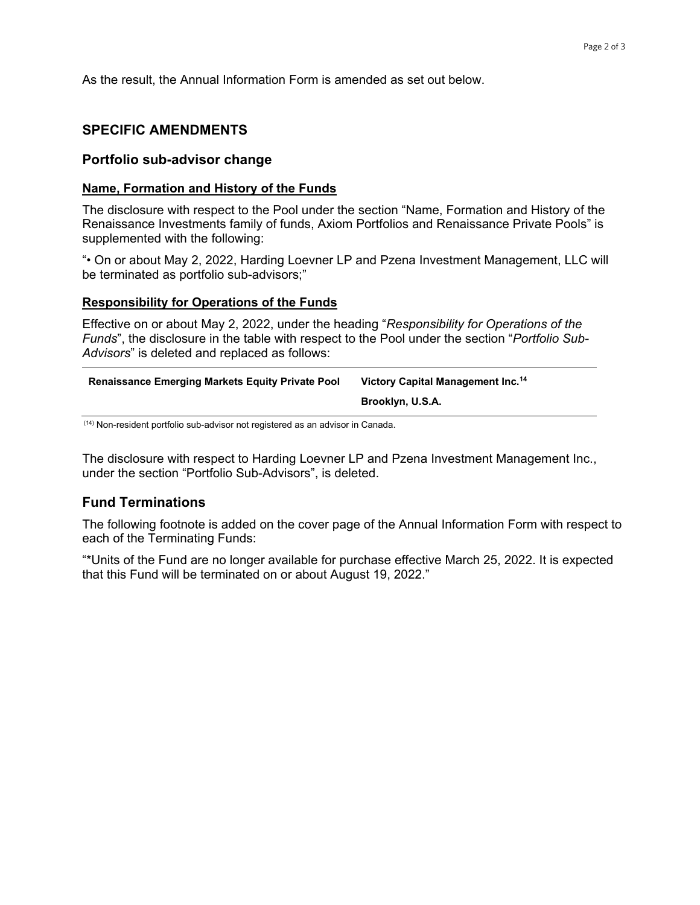As the result, the Annual Information Form is amended as set out below.

### **SPECIFIC AMENDMENTS**

#### **Portfolio sub-advisor change**

#### **Name, Formation and History of the Funds**

The disclosure with respect to the Pool under the section "Name, Formation and History of the Renaissance Investments family of funds, Axiom Portfolios and Renaissance Private Pools" is supplemented with the following:

"• On or about May 2, 2022, Harding Loevner LP and Pzena Investment Management, LLC will be terminated as portfolio sub-advisors;"

#### **Responsibility for Operations of the Funds**

Effective on or about May 2, 2022, under the heading "*Responsibility for Operations of the Funds*", the disclosure in the table with respect to the Pool under the section "*Portfolio Sub-Advisors*" is deleted and replaced as follows:

| <b>Renaissance Emerging Markets Equity Private Pool</b> | Victory Capital Management Inc. <sup>14</sup> |
|---------------------------------------------------------|-----------------------------------------------|
|                                                         | Brooklyn, U.S.A.                              |

(14) Non-resident portfolio sub-advisor not registered as an advisor in Canada.

The disclosure with respect to Harding Loevner LP and Pzena Investment Management Inc., under the section "Portfolio Sub-Advisors", is deleted.

### **Fund Terminations**

The following footnote is added on the cover page of the Annual Information Form with respect to each of the Terminating Funds:

"\*Units of the Fund are no longer available for purchase effective March 25, 2022. It is expected that this Fund will be terminated on or about August 19, 2022."